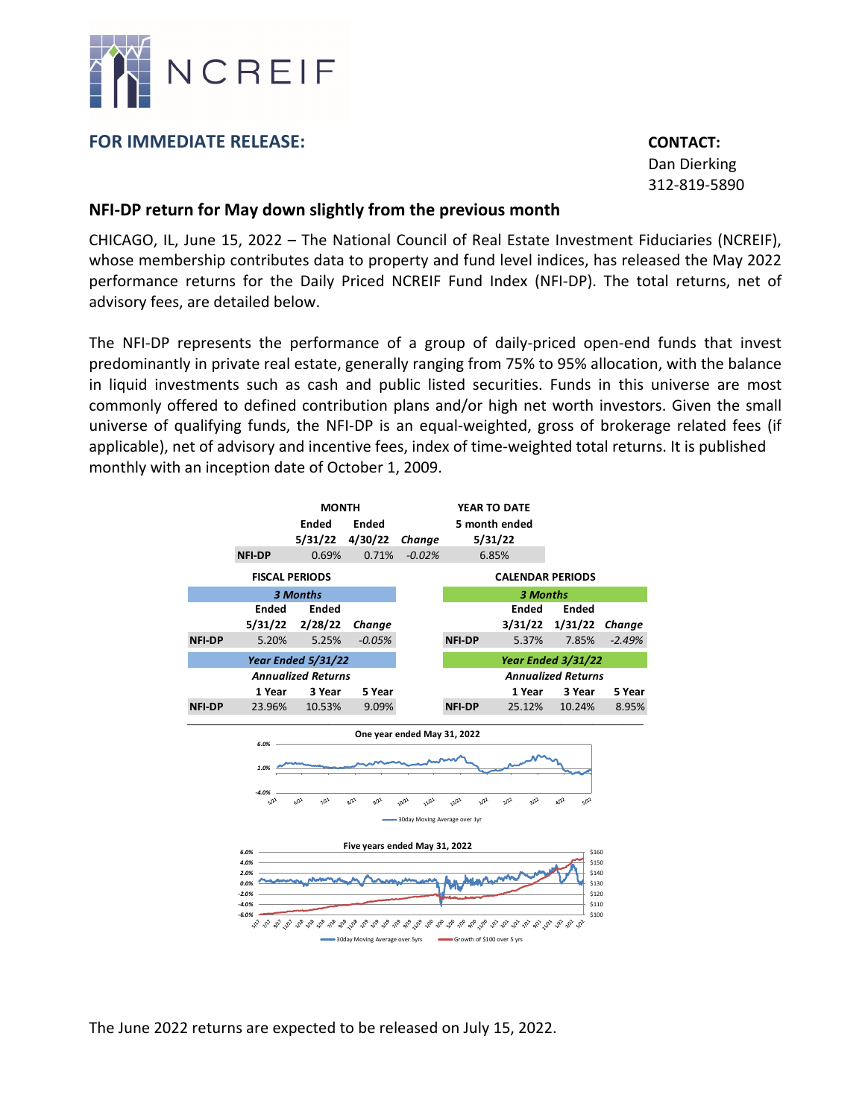

## **FOR IMMEDIATE RELEASE: CONTACT:**

 Dan Dierking 312‐819‐5890

## **NFI‐DP return for May down slightly from the previous month**

CHICAGO, IL, June 15, 2022 – The National Council of Real Estate Investment Fiduciaries (NCREIF), whose membership contributes data to property and fund level indices, has released the May 2022 performance returns for the Daily Priced NCREIF Fund Index (NFI‐DP). The total returns, net of advisory fees, are detailed below.

The NFI‐DP represents the performance of a group of daily‐priced open‐end funds that invest predominantly in private real estate, generally ranging from 75% to 95% allocation, with the balance in liquid investments such as cash and public listed securities. Funds in this universe are most commonly offered to defined contribution plans and/or high net worth investors. Given the small universe of qualifying funds, the NFI‐DP is an equal‐weighted, gross of brokerage related fees (if applicable), net of advisory and incentive fees, index of time‐weighted total returns. It is published monthly with an inception date of October 1, 2009.



The June 2022 returns are expected to be released on July 15, 2022.